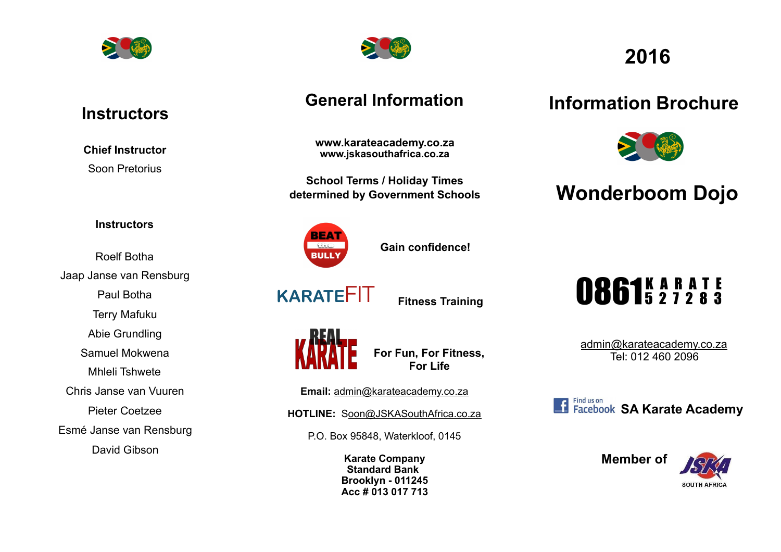

## **Instructors**

**Chief Instructor**  Soon Pretorius

#### **Instructors**

Roelf Botha Jaap Janse van Rensburg Paul Botha Terry Mafuku Abie Grundling Samuel Mokwena Mhleli Tshwete Chris Janse van Vuuren Pieter Coetzee Esmé Janse van Rensburg David Gibson



## **General Information**

**www.karateacademy.co.za www.jskasouthafrica.co.za**

**School Terms / Holiday Times determined by Government Schools** 



**Gain confidence!** 

**KARATE**FIT

**Fitness Training**



**For Fun, For Fitness, For Life** 

**Email:** admin@karateacademy.co.za

**HOTLINE:** Soon@JSKASouthAfrica.co.za

P.O. Box 95848, Waterkloof, 0145

**Karate Company Standard Bank Brooklyn - 011245 Acc # 013 017 713**

# **2016**

# **Information Brochure**



# **Wonderboom Dojo**

# 0861527283

[admin@karateacademy.co.za](mailto:admin@karateacademy.co.za) Tel: 012 460 2096